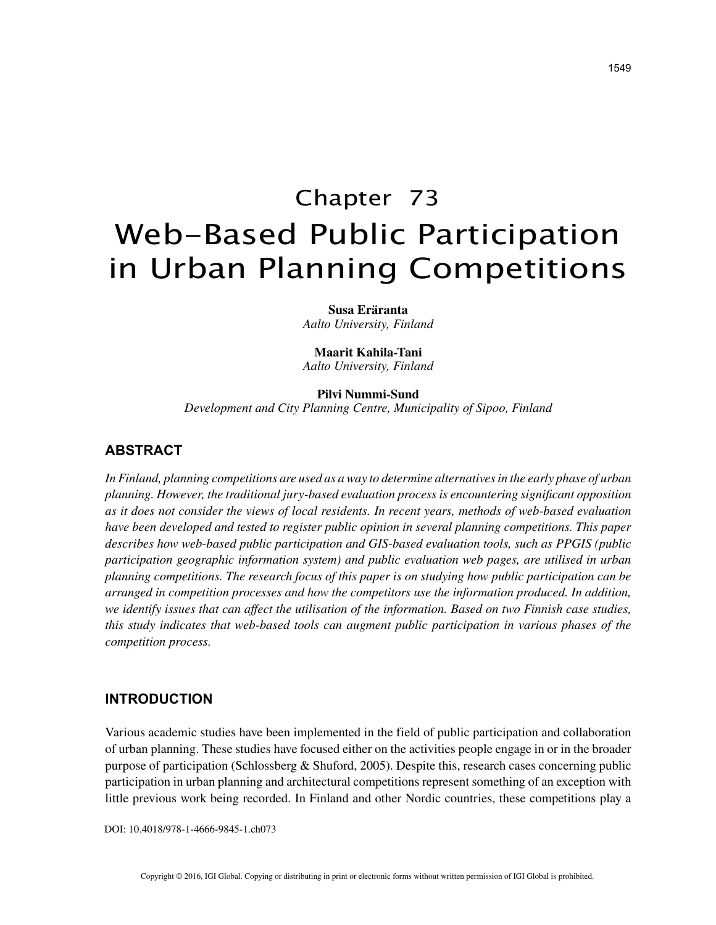# Chapter 73 Web-Based Public Participation in Urban Planning Competitions

**Susa Eräranta** *Aalto University, Finland*

**Maarit Kahila-Tani** *Aalto University, Finland*

**Pilvi Nummi-Sund**

*Development and City Planning Centre, Municipality of Sipoo, Finland*

# **ABSTRACT**

*In Finland, planning competitions are used as a way to determine alternatives in the early phase of urban planning. However, the traditional jury-based evaluation process is encountering significant opposition as it does not consider the views of local residents. In recent years, methods of web-based evaluation have been developed and tested to register public opinion in several planning competitions. This paper describes how web-based public participation and GIS-based evaluation tools, such as PPGIS (public participation geographic information system) and public evaluation web pages, are utilised in urban planning competitions. The research focus of this paper is on studying how public participation can be arranged in competition processes and how the competitors use the information produced. In addition, we identify issues that can affect the utilisation of the information. Based on two Finnish case studies, this study indicates that web-based tools can augment public participation in various phases of the competition process.*

### **INTRODUCTION**

Various academic studies have been implemented in the field of public participation and collaboration of urban planning. These studies have focused either on the activities people engage in or in the broader purpose of participation (Schlossberg & Shuford, 2005). Despite this, research cases concerning public participation in urban planning and architectural competitions represent something of an exception with little previous work being recorded. In Finland and other Nordic countries, these competitions play a

DOI: 10.4018/978-1-4666-9845-1.ch073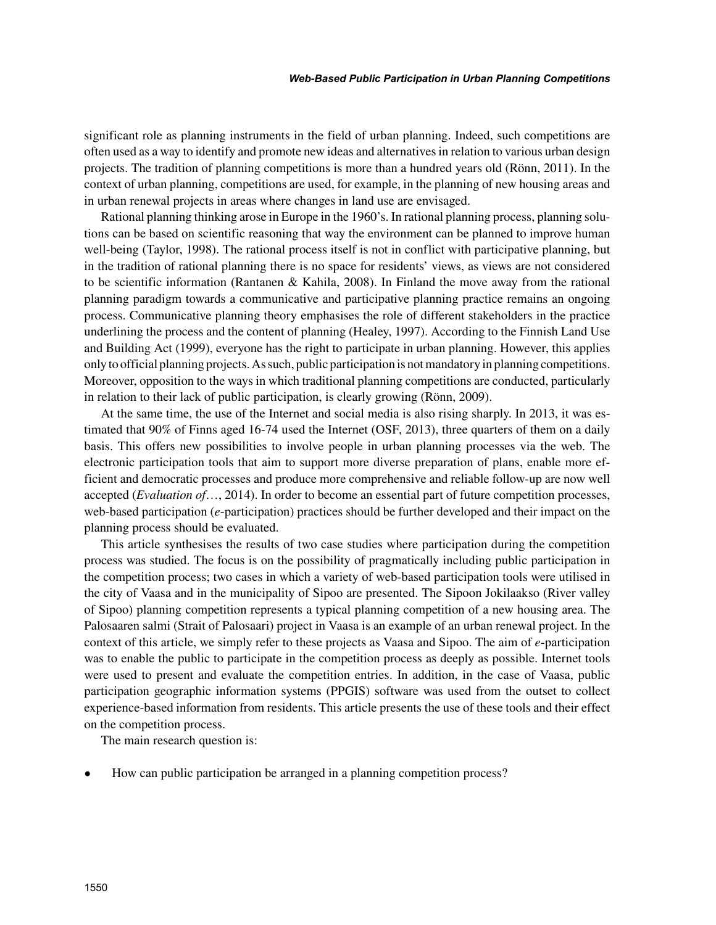significant role as planning instruments in the field of urban planning. Indeed, such competitions are often used as a way to identify and promote new ideas and alternatives in relation to various urban design projects. The tradition of planning competitions is more than a hundred years old (Rönn, 2011). In the context of urban planning, competitions are used, for example, in the planning of new housing areas and in urban renewal projects in areas where changes in land use are envisaged.

Rational planning thinking arose in Europe in the 1960's. In rational planning process, planning solutions can be based on scientific reasoning that way the environment can be planned to improve human well-being (Taylor, 1998). The rational process itself is not in conflict with participative planning, but in the tradition of rational planning there is no space for residents' views, as views are not considered to be scientific information (Rantanen & Kahila, 2008). In Finland the move away from the rational planning paradigm towards a communicative and participative planning practice remains an ongoing process. Communicative planning theory emphasises the role of different stakeholders in the practice underlining the process and the content of planning (Healey, 1997). According to the Finnish Land Use and Building Act (1999), everyone has the right to participate in urban planning. However, this applies only to official planning projects. As such, public participation is not mandatory in planning competitions. Moreover, opposition to the ways in which traditional planning competitions are conducted, particularly in relation to their lack of public participation, is clearly growing (Rönn, 2009).

At the same time, the use of the Internet and social media is also rising sharply. In 2013, it was estimated that 90% of Finns aged 16-74 used the Internet (OSF, 2013), three quarters of them on a daily basis. This offers new possibilities to involve people in urban planning processes via the web. The electronic participation tools that aim to support more diverse preparation of plans, enable more efficient and democratic processes and produce more comprehensive and reliable follow-up are now well accepted (*Evaluation of*…, 2014). In order to become an essential part of future competition processes, web-based participation (*e*-participation) practices should be further developed and their impact on the planning process should be evaluated.

This article synthesises the results of two case studies where participation during the competition process was studied. The focus is on the possibility of pragmatically including public participation in the competition process; two cases in which a variety of web-based participation tools were utilised in the city of Vaasa and in the municipality of Sipoo are presented. The Sipoon Jokilaakso (River valley of Sipoo) planning competition represents a typical planning competition of a new housing area. The Palosaaren salmi (Strait of Palosaari) project in Vaasa is an example of an urban renewal project. In the context of this article, we simply refer to these projects as Vaasa and Sipoo. The aim of *e*-participation was to enable the public to participate in the competition process as deeply as possible. Internet tools were used to present and evaluate the competition entries. In addition, in the case of Vaasa, public participation geographic information systems (PPGIS) software was used from the outset to collect experience-based information from residents. This article presents the use of these tools and their effect on the competition process.

The main research question is:

• How can public participation be arranged in a planning competition process?